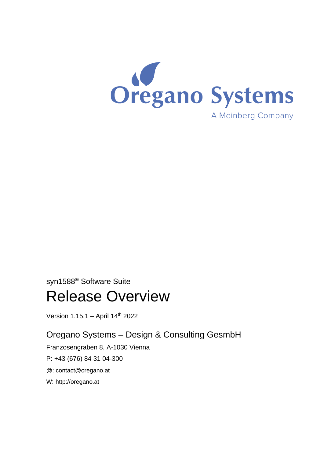

# syn1588® Software Suite

# Release Overview

Version 1.15.1 - April 14<sup>th</sup> 2022

# Oregano Systems – Design & Consulting GesmbH

Franzosengraben 8, A-1030 Vienna

P: +43 (676) 84 31 04-300

@: [contact@oregano.at](mailto:contact@oregano.at)

W: [http://oregano.at](http://www.oregano.at/)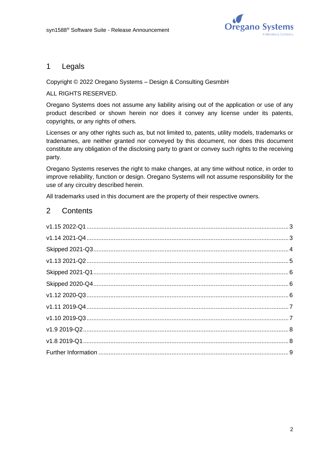

#### 1 Legals

#### Copyright © 2022 Oregano Systems – Design & Consulting GesmbH

#### ALL RIGHTS RESERVED.

Oregano Systems does not assume any liability arising out of the application or use of any product described or shown herein nor does it convey any license under its patents, copyrights, or any rights of others.

Licenses or any other rights such as, but not limited to, patents, utility models, trademarks or tradenames, are neither granted nor conveyed by this document, nor does this document constitute any obligation of the disclosing party to grant or convey such rights to the receiving party.

Oregano Systems reserves the right to make changes, at any time without notice, in order to improve reliability, function or design. Oregano Systems will not assume responsibility for the use of any circuitry described herein.

All trademarks used in this document are the property of their respective owners.

### 2 Contents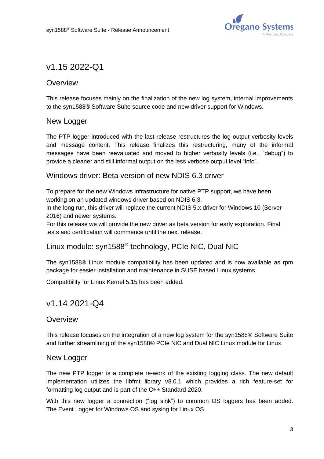

# <span id="page-2-0"></span>v1.15 2022-Q1

# **Overview**

This release focuses mainly on the finalization of the new log system, internal improvements to the syn1588® Software Suite source code and new driver support for Windows.

# New Logger

The PTP logger introduced with the last release restructures the log output verbosity levels and message content. This release finalizes this restructuring, many of the informal messages have been reevaluated and moved to higher verbosity levels (i.e., "debug") to provide a cleaner and still informal output on the less verbose output level "info".

#### Windows driver: Beta version of new NDIS 6.3 driver

To prepare for the new Windows infrastructure for native PTP support, we have been working on an updated windows driver based on NDIS 6.3.

In the long run, this driver will replace the current NDIS 5.x driver for Windows 10 (Server 2016) and newer systems.

For this release we will provide the new driver as beta version for early exploration. Final tests and certification will commence until the next release.

### Linux module: syn1588® technology, PCIe NIC, Dual NIC

The syn1588® Linux module compatibility has been updated and is now available as rpm package for easier installation and maintenance in SUSE based Linux systems

Compatibility for Linux Kernel 5.15 has been added.

# <span id="page-2-1"></span>v1.14 2021-Q4

### **Overview**

This release focuses on the integration of a new log system for the syn1588® Software Suite and further streamlining of the syn1588® PCIe NIC and Dual NIC Linux module for Linux.

#### New Logger

The new PTP logger is a complete re-work of the existing logging class. The new default implementation utilizes the libfmt library v8.0.1 which provides a rich feature-set for formatting log output and is part of the C++ Standard 2020.

With this new logger a connection ("log sink") to common OS loggers has been added. The Event Logger for Windows OS and syslog for Linux OS.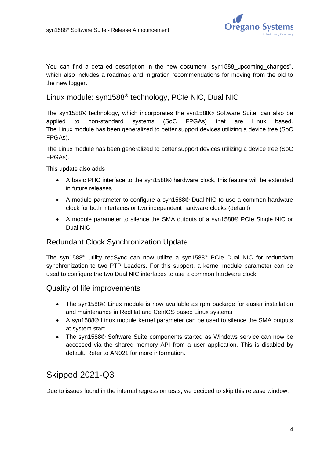

You can find a detailed description in the new document "syn1588 upcoming changes", which also includes a roadmap and migration recommendations for moving from the old to the new logger.

### Linux module: syn1588® technology, PCIe NIC, Dual NIC

The syn1588® technology, which incorporates the syn1588® Software Suite, can also be applied to non-standard systems (SoC FPGAs) that are Linux based. The Linux module has been generalized to better support devices utilizing a device tree (SoC FPGAs).

The Linux module has been generalized to better support devices utilizing a device tree (SoC FPGAs).

This update also adds

- A basic PHC interface to the syn1588® hardware clock, this feature will be extended in future releases
- A module parameter to configure a syn1588® Dual NIC to use a common hardware clock for both interfaces or two independent hardware clocks (default)
- A module parameter to silence the SMA outputs of a syn1588® PCIe Single NIC or Dual NIC

# Redundant Clock Synchronization Update

The syn1588® utility redSync can now utilize a syn1588® PCIe Dual NIC for redundant synchronization to two PTP Leaders. For this support, a kernel module parameter can be used to configure the two Dual NIC interfaces to use a common hardware clock.

#### Quality of life improvements

- The syn1588® Linux module is now available as rpm package for easier installation and maintenance in RedHat and CentOS based Linux systems
- A syn1588® Linux module kernel parameter can be used to silence the SMA outputs at system start
- The syn1588® Software Suite components started as Windows service can now be accessed via the shared memory API from a user application. This is disabled by default. Refer to AN021 for more information.

# <span id="page-3-0"></span>Skipped 2021-Q3

Due to issues found in the internal regression tests, we decided to skip this release window.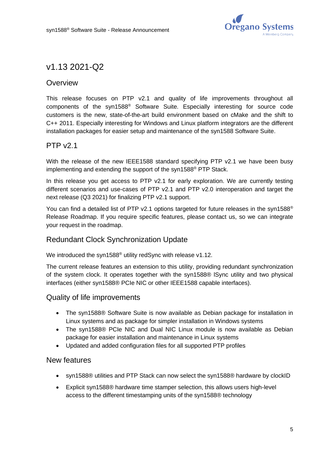

# <span id="page-4-0"></span>v1.13 2021-Q2

# **Overview**

This release focuses on PTP v2.1 and quality of life improvements throughout all components of the syn1588® Software Suite. Especially interesting for source code customers is the new, state-of-the-art build environment based on cMake and the shift to C++ 2011. Especially interesting for Windows and Linux platform integrators are the different installation packages for easier setup and maintenance of the syn1588 Software Suite.

# PTP v2.1

With the release of the new IEEE1588 standard specifying PTP v2.1 we have been busy implementing and extending the support of the syn1588® PTP Stack.

In this release you get access to PTP v2.1 for early exploration. We are currently testing different scenarios and use-cases of PTP v2.1 and PTP v2.0 interoperation and target the next release (Q3 2021) for finalizing PTP v2.1 support.

You can find a detailed list of PTP v2.1 options targeted for future releases in the syn1588<sup>®</sup> Release Roadmap. If you require specific features, please contact us, so we can integrate your request in the roadmap.

# Redundant Clock Synchronization Update

We introduced the syn1588<sup>®</sup> utility redSync with release v1.12.

The current release features an extension to this utility, providing redundant synchronization of the system clock. It operates together with the syn1588® lSync utility and two physical interfaces (either syn1588® PCIe NIC or other IEEE1588 capable interfaces).

#### Quality of life improvements

- The syn1588® Software Suite is now available as Debian package for installation in Linux systems and as package for simpler installation in Windows systems
- The syn1588® PCIe NIC and Dual NIC Linux module is now available as Debian package for easier installation and maintenance in Linux systems
- Updated and added configuration files for all supported PTP profiles

#### New features

- syn1588® utilities and PTP Stack can now select the syn1588® hardware by clockID
- Explicit syn1588® hardware time stamper selection, this allows users high-level access to the different timestamping units of the syn1588® technology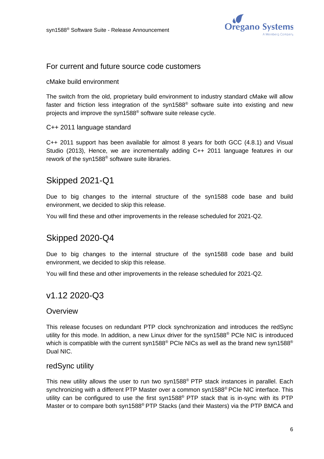

#### For current and future source code customers

#### cMake build environment

The switch from the old, proprietary build environment to industry standard cMake will allow faster and friction less integration of the syn1588® software suite into existing and new projects and improve the syn1588® software suite release cycle.

#### C++ 2011 language standard

C++ 2011 support has been available for almost 8 years for both GCC (4.8.1) and Visual Studio (2013), Hence, we are incrementally adding C++ 2011 language features in our rework of the syn1588® software suite libraries.

# <span id="page-5-0"></span>Skipped 2021-Q1

Due to big changes to the internal structure of the syn1588 code base and build environment, we decided to skip this release.

<span id="page-5-1"></span>You will find these and other improvements in the release scheduled for 2021-Q2.

# Skipped 2020-Q4

Due to big changes to the internal structure of the syn1588 code base and build environment, we decided to skip this release.

<span id="page-5-2"></span>You will find these and other improvements in the release scheduled for 2021-Q2.

# v1.12 2020-Q3

#### **Overview**

This release focuses on redundant PTP clock synchronization and introduces the redSync utility for this mode. In addition, a new Linux driver for the syn1588® PCIe NIC is introduced which is compatible with the current syn1588<sup>®</sup> PCIe NICs as well as the brand new syn1588<sup>®</sup> Dual NIC.

#### redSync utility

This new utility allows the user to run two syn1588® PTP stack instances in parallel. Each synchronizing with a different PTP Master over a common syn1588<sup>®</sup> PCIe NIC interface. This utility can be configured to use the first syn1588® PTP stack that is in-sync with its PTP Master or to compare both syn1588® PTP Stacks (and their Masters) via the PTP BMCA and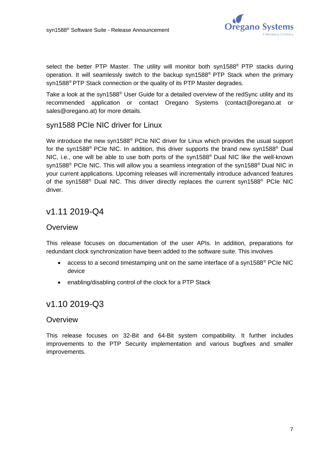

select the better PTP Master. The utility will monitor both syn1588<sup>®</sup> PTP stacks during operation. It will seamlessly switch to the backup syn1588<sup>®</sup> PTP Stack when the primary syn1588<sup>®</sup> PTP Stack connection or the quality of its PTP Master degrades.

Take a look at the syn1588<sup>®</sup> User Guide for a detailed overview of the redSync utility and its recommended application or contact Oregano Systems [\(contact@oregano.at](mailto:contact@oregano.at?subject=syn1588%20Release%20Roadmap) or [sales@oregano.at\)](mailto:sales@oregano.at?subject=syn1588%20Release%20Roadmap) for more details.

#### syn1588 PCIe NIC driver for Linux

We introduce the new syn1588<sup>®</sup> PCIe NIC driver for Linux which provides the usual support for the syn1588<sup>®</sup> PCIe NIC. In addition, this driver supports the brand new syn1588<sup>®</sup> Dual NIC, i.e., one will be able to use both ports of the syn1588® Dual NIC like the well-known syn1588<sup>®</sup> PCIe NIC. This will allow you a seamless integration of the syn1588<sup>®</sup> Dual NIC in your current applications. Upcoming releases will incrementally introduce advanced features of the syn1588<sup>®</sup> Dual NIC. This driver directly replaces the current syn1588<sup>®</sup> PCIe NIC driver.

# <span id="page-6-0"></span>v1.11 2019-Q4

#### **Overview**

This release focuses on documentation of the user APIs. In addition, preparations for redundant clock synchronization have been added to the software suite. This involves

- access to a second timestamping unit on the same interface of a syn1588<sup>®</sup> PCIe NIC device
- enabling/disabling control of the clock for a PTP Stack

# <span id="page-6-1"></span>v1.10 2019-Q3

#### **Overview**

This release focuses on 32-Bit and 64-Bit system compatibility. It further includes improvements to the PTP Security implementation and various bugfixes and smaller improvements.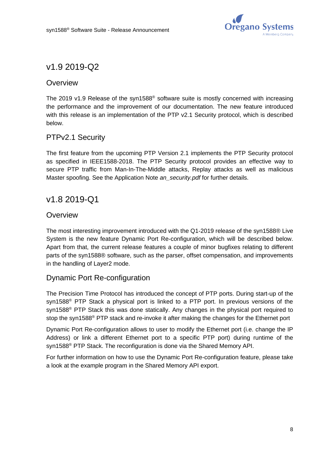

# <span id="page-7-0"></span>v1.9 2019-Q2

# **Overview**

The 2019 v1.9 Release of the syn1588® software suite is mostly concerned with increasing the performance and the improvement of our documentation. The new feature introduced with this release is an implementation of the PTP v2.1 Security protocol, which is described below.

# PTPv2.1 Security

The first feature from the upcoming PTP Version 2.1 implements the PTP Security protocol as specified in IEEE1588-2018. The PTP Security protocol provides an effective way to secure PTP traffic from Man-In-The-Middle attacks, Replay attacks as well as malicious Master spoofing. See the Application Note *an\_security.pdf* for further details.

# <span id="page-7-1"></span>v1.8 2019-Q1

### **Overview**

The most interesting improvement introduced with the Q1-2019 release of the syn1588® Live System is the new feature Dynamic Port Re-configuration, which will be described below. Apart from that, the current release features a couple of minor bugfixes relating to different parts of the syn1588® software, such as the parser, offset compensation, and improvements in the handling of Layer2 mode.

### Dynamic Port Re-configuration

The Precision Time Protocol has introduced the concept of PTP ports. During start-up of the syn1588® PTP Stack a physical port is linked to a PTP port. In previous versions of the syn1588<sup>®</sup> PTP Stack this was done statically. Any changes in the physical port required to stop the syn1588<sup>®</sup> PTP stack and re-invoke it after making the changes for the Ethernet port

Dynamic Port Re-configuration allows to user to modify the Ethernet port (i.e. change the IP Address) or link a different Ethernet port to a specific PTP port) during runtime of the syn1588® PTP Stack. The reconfiguration is done via the Shared Memory API.

For further information on how to use the Dynamic Port Re-configuration feature, please take a look at the example program in the Shared Memory API export.